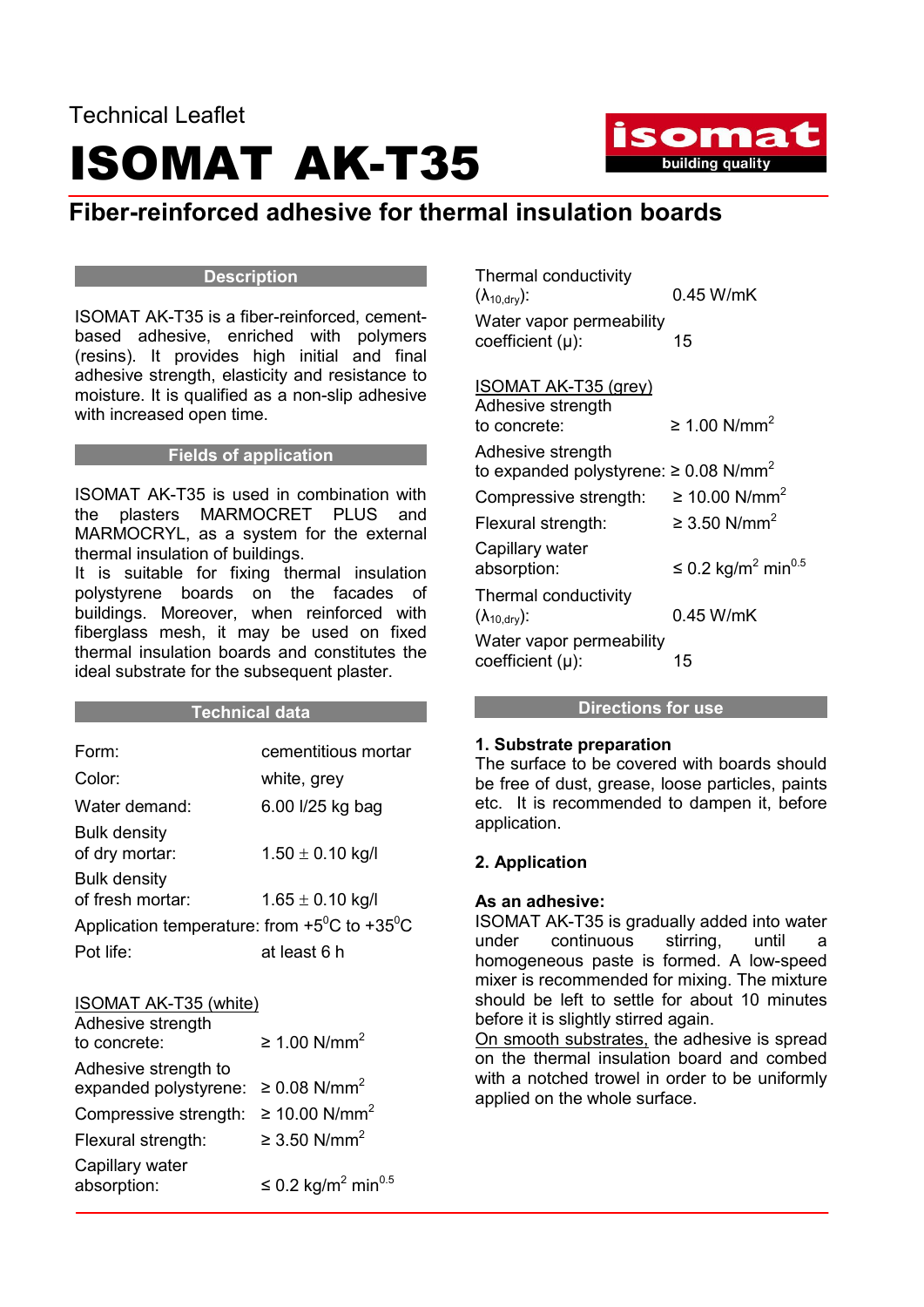### Technical Leaflet ISOMAT AK-T35



### Fiber-reinforced adhesive for thermal insulation boards

#### **Description**

ISOMAT AK-T35 is a fiber-reinforced, cementbased adhesive, enriched with polymers (resins). It provides high initial and final adhesive strength, elasticity and resistance to moisture. It is qualified as a non-slip adhesive with increased open time.

### Fields of application

ISOMAT AK-T35 is used in combination with the plasters MARMOCRET PLUS and MARMOCRYL, as a system for the external thermal insulation of buildings.

It is suitable for fixing thermal insulation polystyrene boards on the facades of buildings. Moreover, when reinforced with fiberglass mesh, it may be used on fixed thermal insulation boards and constitutes the ideal substrate for the subsequent plaster.

#### **Technical data**

| Form:                                                           | cementitious mortar  |
|-----------------------------------------------------------------|----------------------|
| Color:                                                          | white, grey          |
| Water demand:                                                   | 6.00 l/25 kg bag     |
| <b>Bulk density</b><br>of dry mortar:<br><b>Bulk density</b>    | $1.50 \pm 0.10$ kg/l |
| of fresh mortar:                                                | $1.65 \pm 0.10$ kg/l |
| Application temperature: from $+5^{\circ}$ C to $+35^{\circ}$ C |                      |
| Pot life:                                                       | at least 6 h         |

| ISOMAT AK-T35 (white)<br>Adhesive strength                                  |                                            |
|-----------------------------------------------------------------------------|--------------------------------------------|
| to concrete:                                                                | ≥ 1.00 N/mm <sup>2</sup>                   |
| Adhesive strength to<br>expanded polystyrene: $\geq 0.08$ N/mm <sup>2</sup> |                                            |
| Compressive strength:                                                       | ≥ 10.00 N/mm <sup>2</sup>                  |
| Flexural strength:                                                          | ≥ 3.50 N/mm <sup>2</sup>                   |
| Capillary water<br>absorption:                                              | ≤ 0.2 kg/m <sup>2</sup> min <sup>0.5</sup> |

Thermal conductivity  $(\lambda_{10,\text{dry}})$ : 0.45 W/mK Water vapor permeability coefficient (μ): 15

ISOMAT AK-T35 (grey)

| Adhesive strength<br>to concrete:                                           | ≥ 1.00 N/mm <sup>2</sup>                   |
|-----------------------------------------------------------------------------|--------------------------------------------|
| Adhesive strength<br>to expanded polystyrene: $\geq 0.08$ N/mm <sup>2</sup> |                                            |
| Compressive strength:                                                       | ≥ 10.00 N/mm <sup>2</sup>                  |
| Flexural strength:                                                          | ≥ 3.50 N/mm <sup>2</sup>                   |
| Capillary water<br>absorption:                                              | ≤ 0.2 kg/m <sup>2</sup> min <sup>0.5</sup> |
| Thermal conductivity<br>$(\lambda_{10, \text{dry}})$ :                      | 0.45 W/mK                                  |
| Water vapor permeability<br>coefficient (µ):                                | 15                                         |

### Directions for use

### 1. Substrate preparation

The surface to be covered with boards should be free of dust, grease, loose particles, paints etc. It is recommended to dampen it, before application.

### 2. Application

### As an adhesive:

ISOMAT AK-T35 is gradually added into water under continuous stirring, until a homogeneous paste is formed. A low-speed mixer is recommended for mixing. The mixture should be left to settle for about 10 minutes before it is slightly stirred again.

On smooth substrates, the adhesive is spread on the thermal insulation board and combed with a notched trowel in order to be uniformly applied on the whole surface.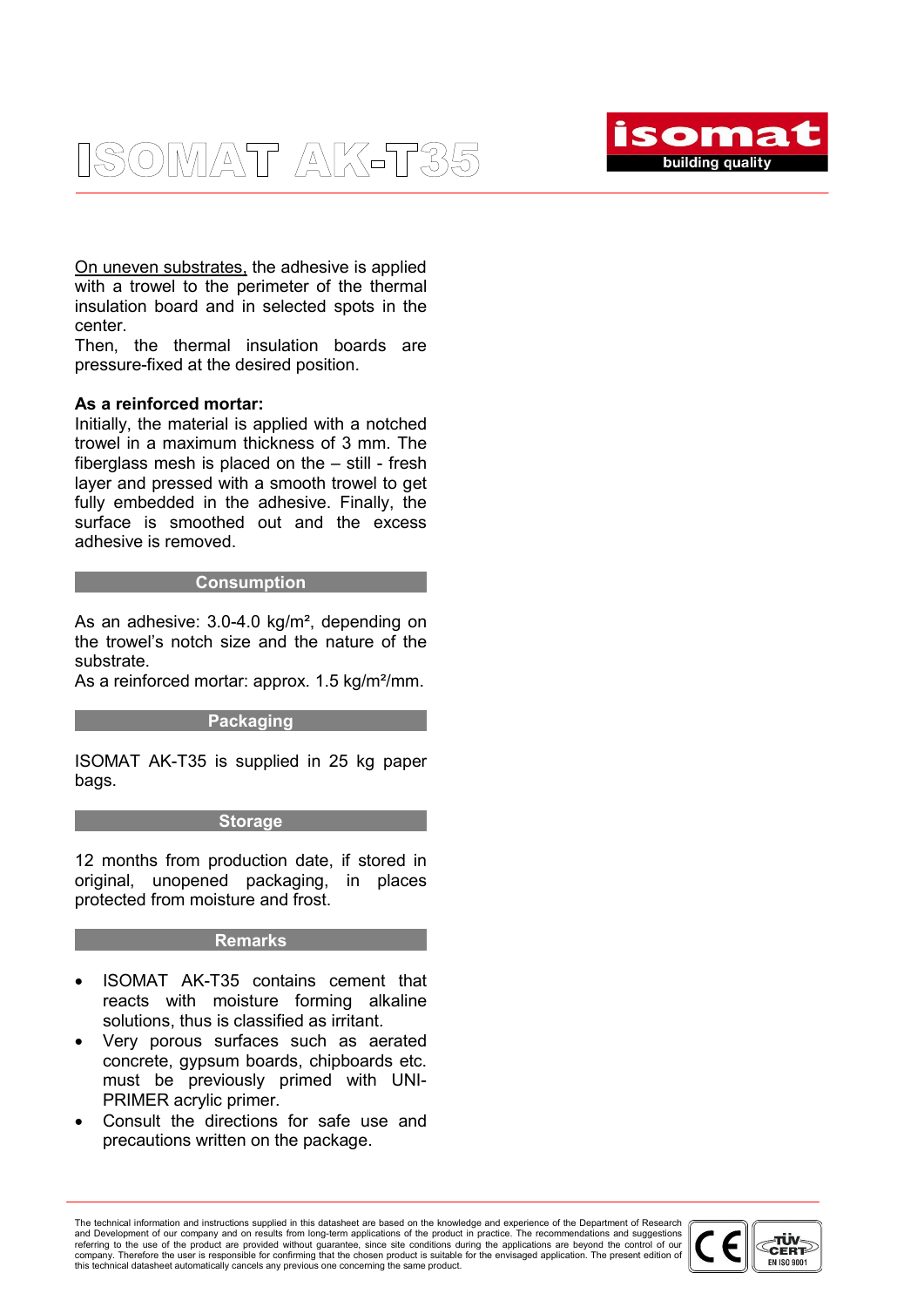### ISOMAT AK-T35



On uneven substrates, the adhesive is applied with a trowel to the perimeter of the thermal insulation board and in selected spots in the center.

Then, the thermal insulation boards are pressure-fixed at the desired position.

### As a reinforced mortar:

Initially, the material is applied with a notched trowel in a maximum thickness of 3 mm. The fiberglass mesh is placed on the – still - fresh layer and pressed with a smooth trowel to get fully embedded in the adhesive. Finally, the surface is smoothed out and the excess adhesive is removed.

#### **Consumption**

As an adhesive: 3.0-4.0 kg/m², depending on the trowel's notch size and the nature of the substrate.

As a reinforced mortar: approx. 1.5 kg/m<sup>2</sup>/mm.

### Packaging

ISOMAT AK-T35 is supplied in 25 kg paper bags.

### **Storage**

12 months from production date, if stored in original, unopened packaging, in places protected from moisture and frost.

### Remarks

- ISOMAT AK-T35 contains cement that reacts with moisture forming alkaline solutions, thus is classified as irritant.
- Very porous surfaces such as aerated concrete, gypsum boards, chipboards etc. must be previously primed with UNI-PRIMER acrylic primer.
- Consult the directions for safe use and precautions written on the package.